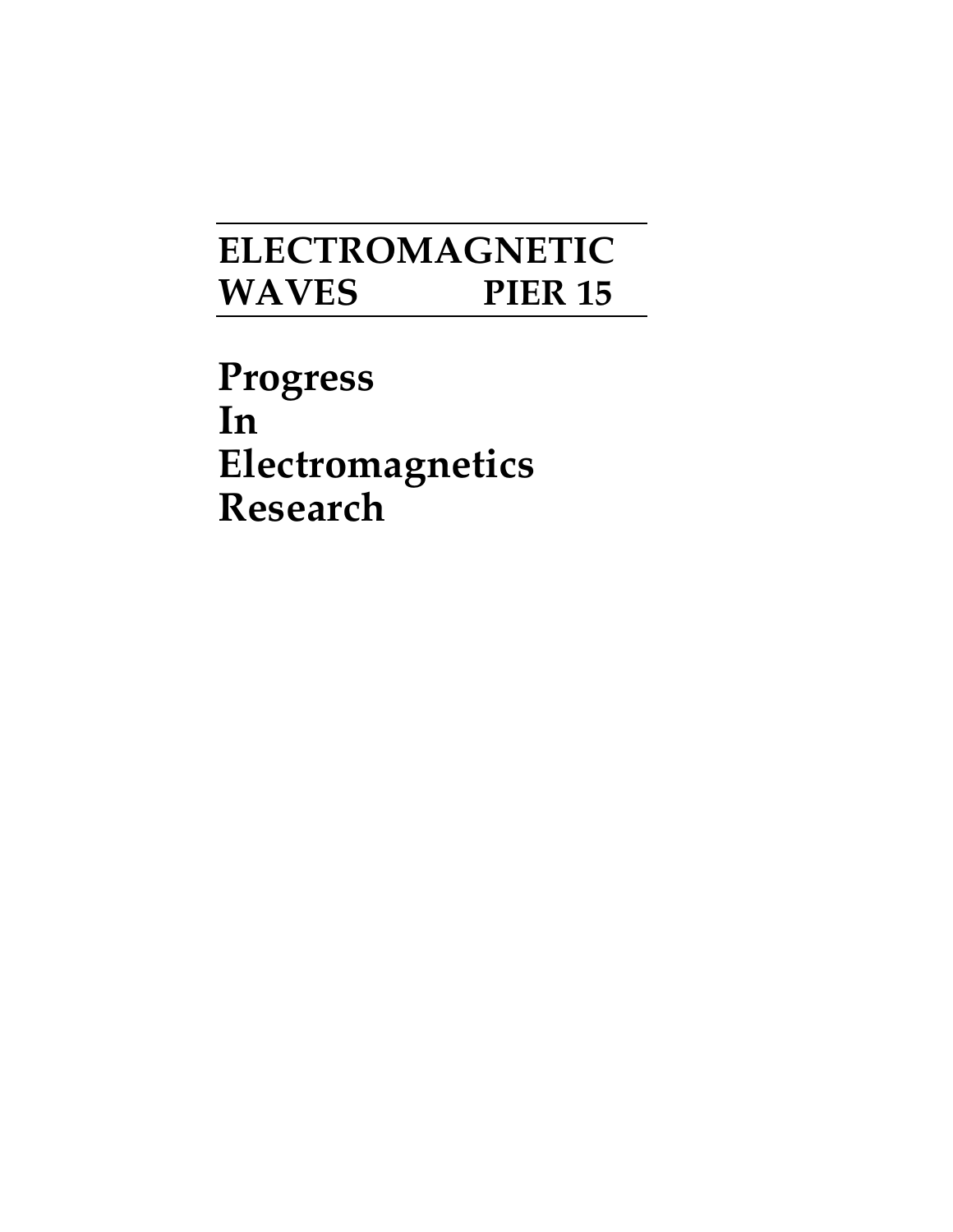## **ELECTROMAGNETIC WAVES PIER 15**

**Progress In Electromagnetics Research**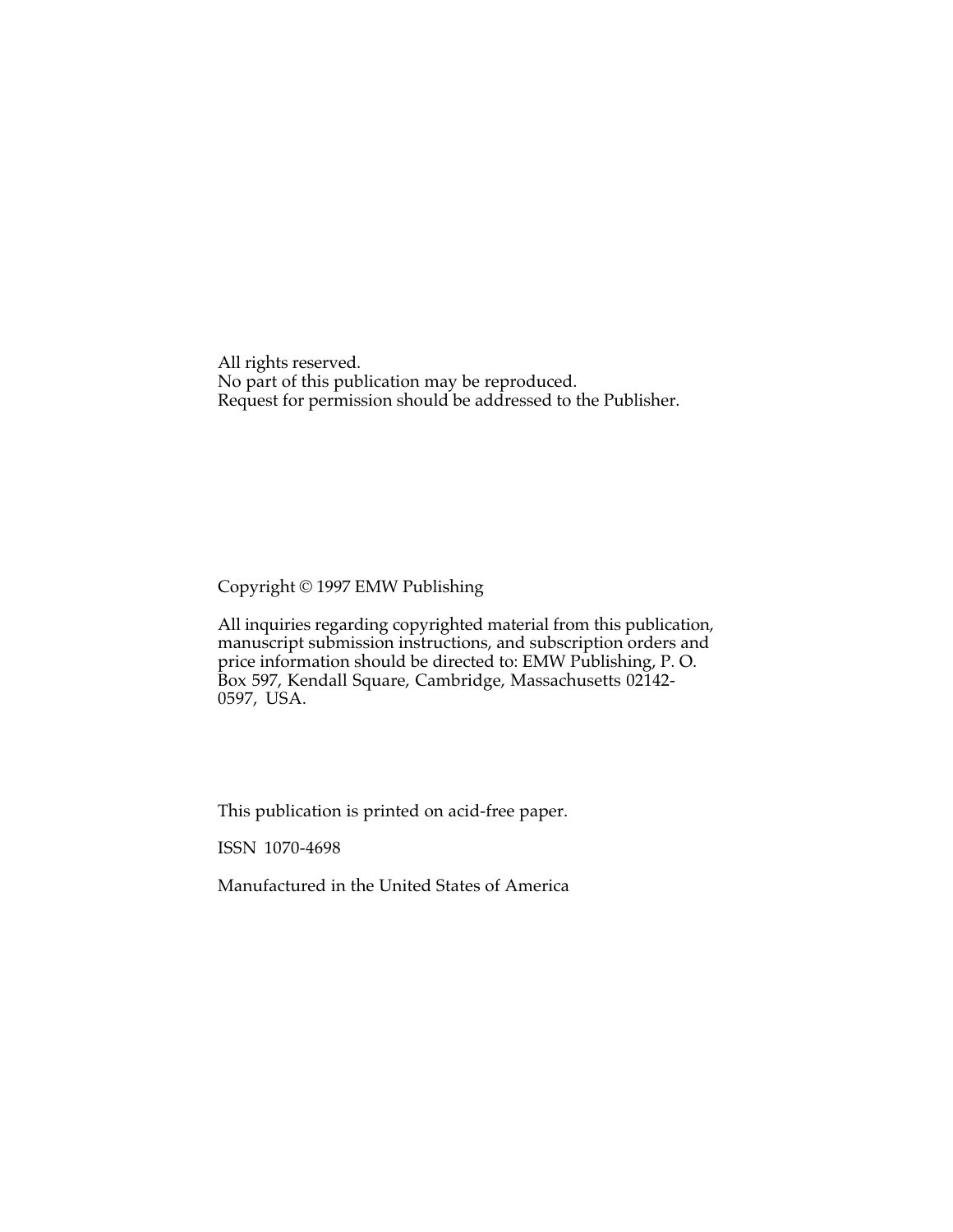All rights reserved. No part of this publication may be reproduced. Request for permission should be addressed to the Publisher.

## Copyright © 1997 EMW Publishing

All inquiries regarding copyrighted material from this publicatior manuscript submission instructions, and subscription orders and price information should be directed to: EMW Publishing, P. O. Box 597, Kendall Square, Cambridge, Massachusetts 02142- 0597, USA.

This publication is printed on acid-free paper.

ISSN 1070-4698

Manufactured in the United States of America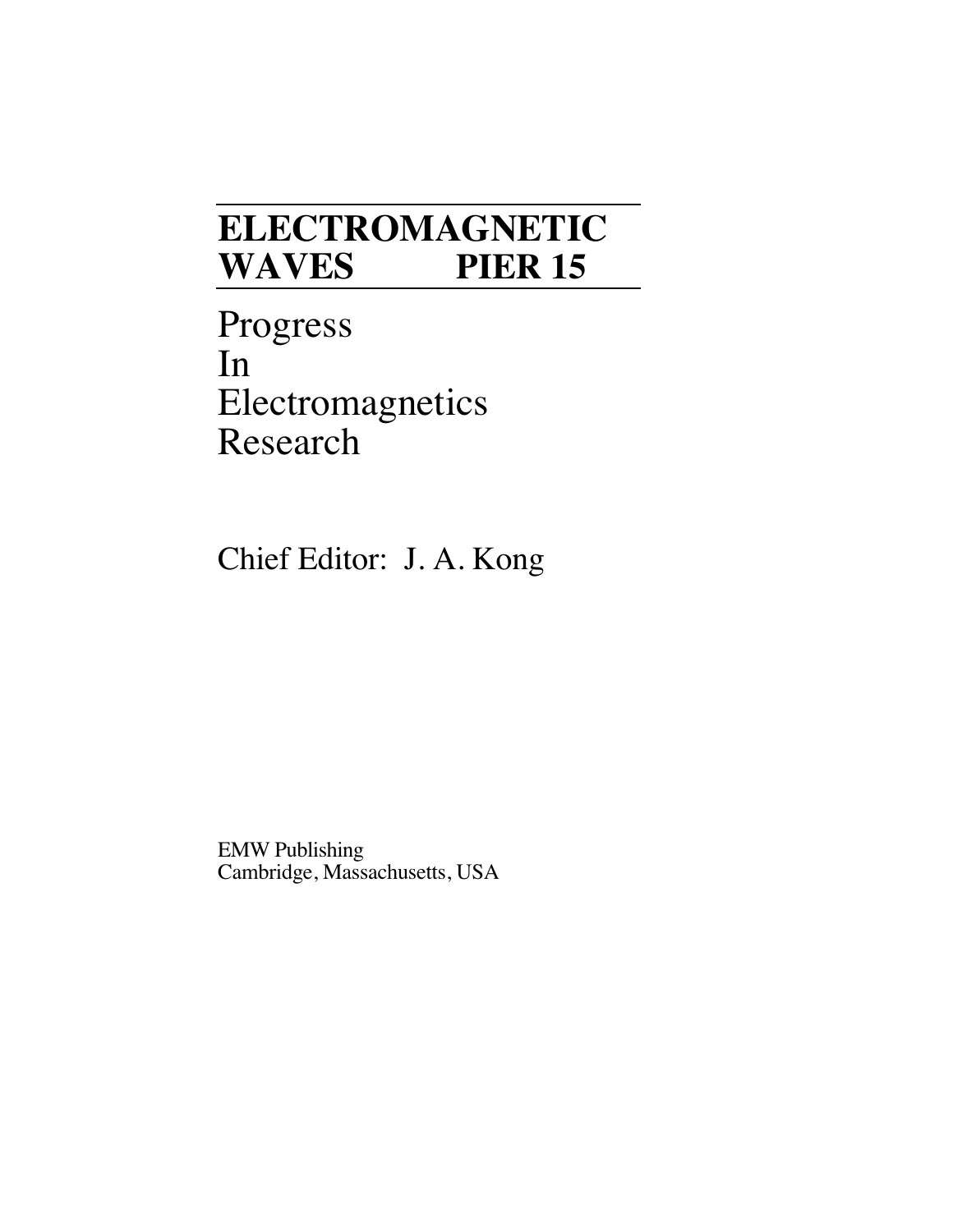## **ELECTROMAGNETIC WAVES PIER 15**

Progress In Electromagnetics Research

Chief Editor: J. A. Kong

EMW Publishing Cambridge, Massachusetts, USA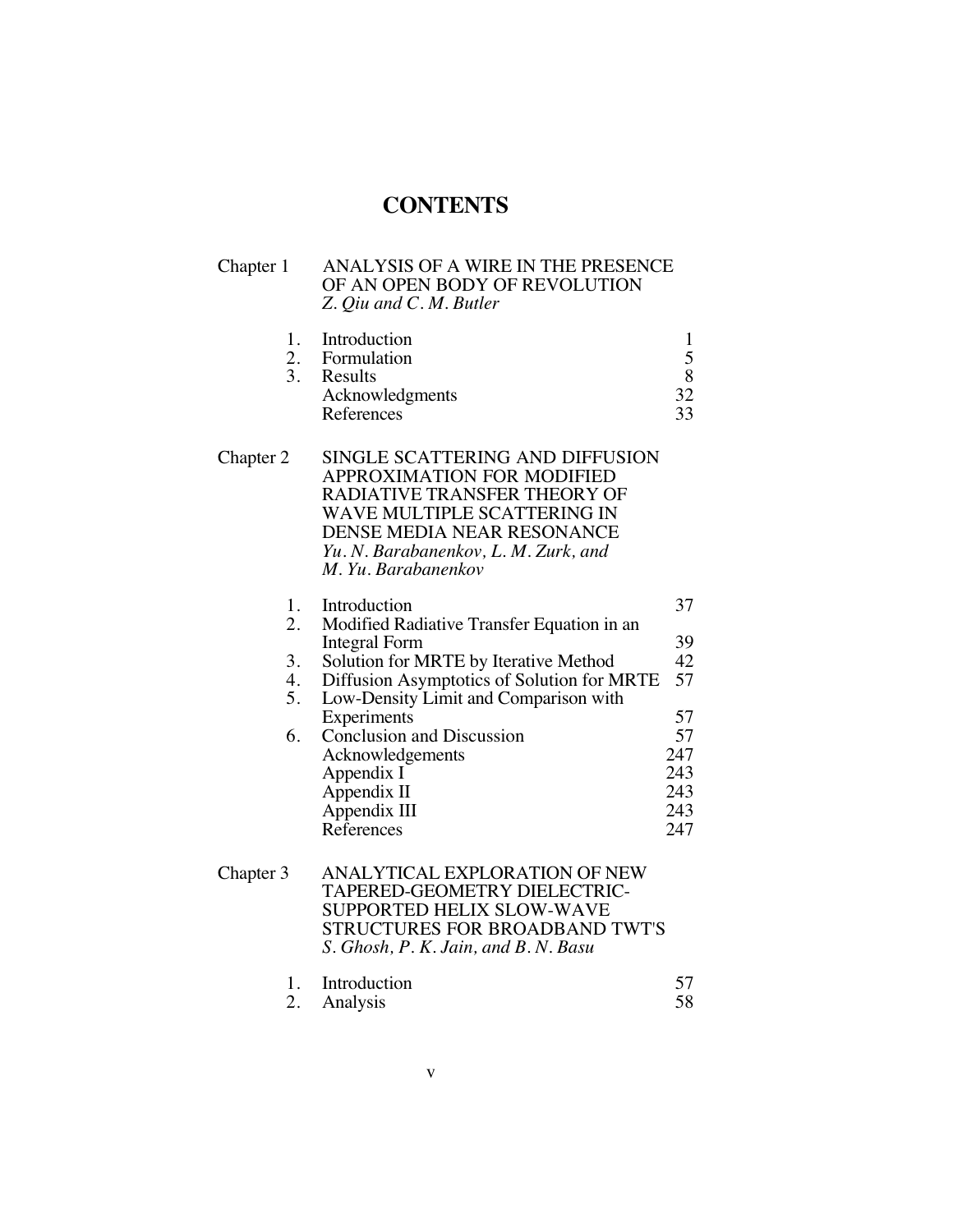## **CONTENTS**

| Chapter 1                        | ANALYSIS OF A WIRE IN THE PRESENCE<br>OF AN OPEN BODY OF REVOLUTION<br>Z. Qiu and C. M. Butler                                                                                                                                                                                                                                                |                                                                     |
|----------------------------------|-----------------------------------------------------------------------------------------------------------------------------------------------------------------------------------------------------------------------------------------------------------------------------------------------------------------------------------------------|---------------------------------------------------------------------|
| 1.<br>2.<br>3.                   | Introduction<br>Formulation<br>Results<br>Acknowledgments<br>References                                                                                                                                                                                                                                                                       | 1<br>5<br>8<br>32<br>33                                             |
| Chapter 2                        | SINGLE SCATTERING AND DIFFUSION<br><b>APPROXIMATION FOR MODIFIED</b><br>RADIATIVE TRANSFER THEORY OF<br>WAVE MULTIPLE SCATTERING IN<br>DENSE MEDIA NEAR RESONANCE<br>Yu. N. Barabanenkov, L. M. Zurk, and<br>M. Yu. Barabanenkov                                                                                                              |                                                                     |
| 1.<br>2.<br>3.<br>4.<br>5.<br>6. | Introduction<br>Modified Radiative Transfer Equation in an<br>Integral Form<br>Solution for MRTE by Iterative Method<br>Diffusion Asymptotics of Solution for MRTE<br>Low-Density Limit and Comparison with<br>Experiments<br><b>Conclusion and Discussion</b><br>Acknowledgements<br>Appendix I<br>Appendix II<br>Appendix III<br>References | 37<br>39<br>42<br>57<br>57<br>57<br>247<br>243<br>243<br>243<br>247 |
| Chapter 3                        | ANALYTICAL EXPLORATION OF NEW<br><b>TAPERED-GEOMETRY DIELECTRIC-</b><br><b>SUPPORTED HELIX SLOW-WAVE</b><br>STRUCTURES FOR BROADBAND TWT'S                                                                                                                                                                                                    |                                                                     |

| 1. Introduction |    |
|-----------------|----|
| 2. Analysis     | 58 |

*S. Ghosh, P. K. Jain, and B. N. Basu*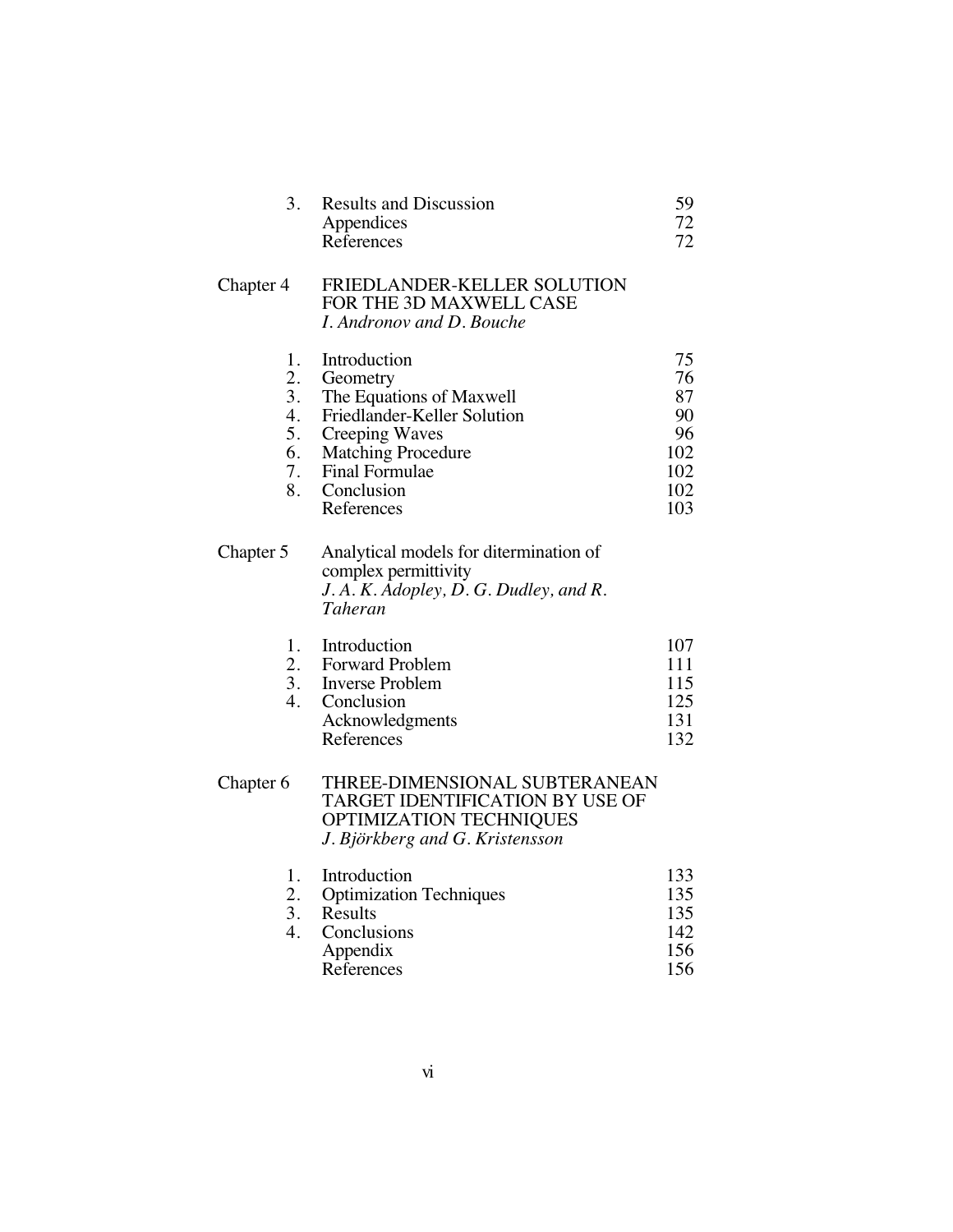| 3.                                           | <b>Results and Discussion</b><br>Appendices<br>References                                                                                                                                      | 59<br>72<br>72                                         |
|----------------------------------------------|------------------------------------------------------------------------------------------------------------------------------------------------------------------------------------------------|--------------------------------------------------------|
| Chapter 4                                    | FRIEDLANDER-KELLER SOLUTION<br>FOR THE 3D MAXWELL CASE<br>I. Andronov and D. Bouche                                                                                                            |                                                        |
| 1.<br>2.<br>3.<br>4.<br>5.<br>6.<br>7.<br>8. | Introduction<br>Geometry<br>The Equations of Maxwell<br>Friedlander-Keller Solution<br><b>Creeping Waves</b><br><b>Matching Procedure</b><br><b>Final Formulae</b><br>Conclusion<br>References | 75<br>76<br>87<br>90<br>96<br>102<br>102<br>102<br>103 |
| Chapter 5                                    | Analytical models for ditermination of<br>complex permittivity<br>J.A.K. Adopley, D.G. Dudley, and R.<br>Taheran                                                                               |                                                        |
| 1.<br>2.<br>3.<br>$\overline{4}$ .           | Introduction<br>Forward Problem<br><b>Inverse Problem</b><br>Conclusion<br>Acknowledgments<br>References                                                                                       | 107<br>111<br>115<br>125<br>131<br>132                 |
| Chapter 6                                    | THREE-DIMENSIONAL SUBTERANEAN<br>TARGET IDENTIFICATION BY USE OF<br>OPTIMIZATION TECHNIQUES<br>J. Björkberg and G. Kristensson                                                                 |                                                        |
| 1.<br>2.<br>3.<br>4.                         | Introduction<br><b>Optimization Techniques</b><br>Results<br>Conclusions<br>Appendix<br>References                                                                                             | 133<br>135<br>135<br>142<br>156<br>156                 |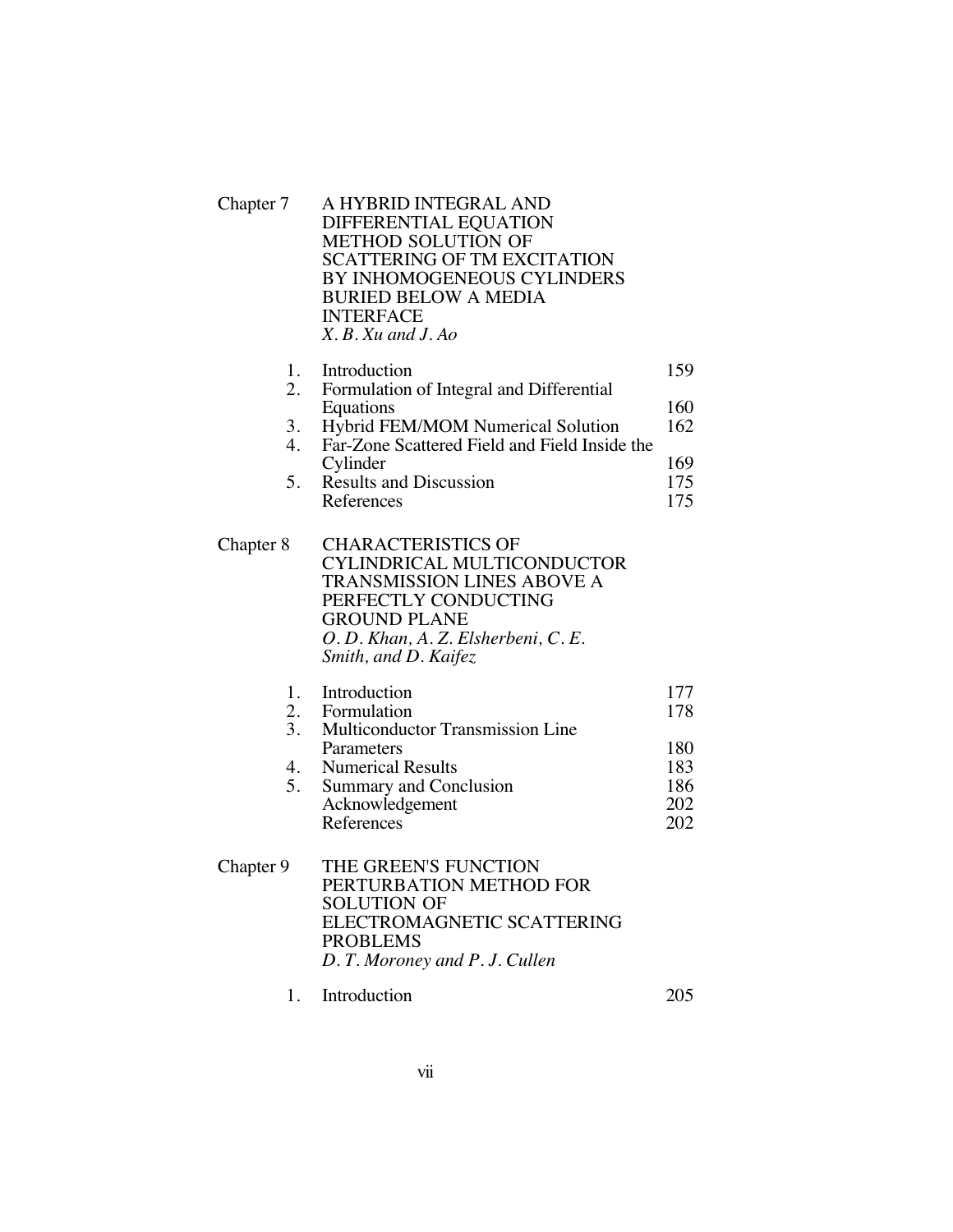| Chapter 7                  | A HYBRID INTEGRAL AND<br>DIFFERENTIAL EQUATION<br>METHOD SOLUTION OF<br><b>SCATTERING OF TM EXCITATION</b><br>BY INHOMOGENEOUS CYLINDERS<br><b>BURIED BELOW A MEDIA</b><br><b>INTERFACE</b><br>$X$ . B. Xu and J. Ao   |                                               |
|----------------------------|------------------------------------------------------------------------------------------------------------------------------------------------------------------------------------------------------------------------|-----------------------------------------------|
| 1.<br>2.<br>3.<br>4.<br>5. | Introduction<br>Formulation of Integral and Differential<br>Equations<br>Hybrid FEM/MOM Numerical Solution<br>Far-Zone Scattered Field and Field Inside the<br>Cylinder<br><b>Results and Discussion</b><br>References | 159<br>160<br>162<br>169<br>175<br>175        |
| Chapter 8                  | <b>CHARACTERISTICS OF</b><br>CYLINDRICAL MULTICONDUCTOR<br><b>TRANSMISSION LINES ABOVE A</b><br>PERFECTLY CONDUCTING<br><b>GROUND PLANE</b><br>O. D. Khan, A. Z. Elsherbeni, C. E.<br>Smith, and D. Kaifez             |                                               |
| 1.<br>2.<br>3.<br>4.<br>5. | Introduction<br>Formulation<br><b>Multiconductor Transmission Line</b><br>Parameters<br><b>Numerical Results</b><br><b>Summary and Conclusion</b><br>Acknowledgement<br>References                                     | 177<br>178<br>180<br>183<br>186<br>202<br>202 |
| Chapter 9                  | THE GREEN'S FUNCTION<br>PERTURBATION METHOD FOR<br><b>SOLUTION OF</b><br>ELECTROMAGNETIC SCATTERING<br><b>PROBLEMS</b><br>D. T. Moroney and P. J. Cullen                                                               |                                               |

1. Introduction 205